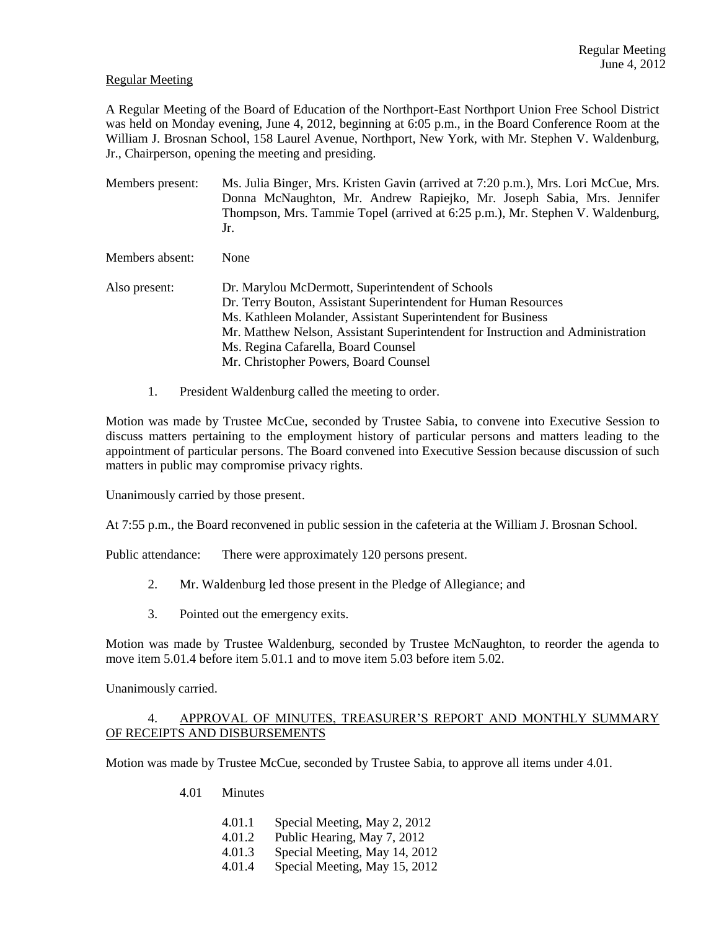### Regular Meeting

A Regular Meeting of the Board of Education of the Northport-East Northport Union Free School District was held on Monday evening, June 4, 2012, beginning at 6:05 p.m., in the Board Conference Room at the William J. Brosnan School, 158 Laurel Avenue, Northport, New York, with Mr. Stephen V. Waldenburg, Jr., Chairperson, opening the meeting and presiding.

Members present: Ms. Julia Binger, Mrs. Kristen Gavin (arrived at 7:20 p.m.), Mrs. Lori McCue, Mrs. Donna McNaughton, Mr. Andrew Rapiejko, Mr. Joseph Sabia, Mrs. Jennifer Thompson, Mrs. Tammie Topel (arrived at 6:25 p.m.), Mr. Stephen V. Waldenburg, Jr.

Members absent: None

- Also present: Dr. Marylou McDermott, Superintendent of Schools Dr. Terry Bouton, Assistant Superintendent for Human Resources Ms. Kathleen Molander, Assistant Superintendent for Business Mr. Matthew Nelson, Assistant Superintendent for Instruction and Administration Ms. Regina Cafarella, Board Counsel Mr. Christopher Powers, Board Counsel
	- 1. President Waldenburg called the meeting to order.

Motion was made by Trustee McCue, seconded by Trustee Sabia, to convene into Executive Session to discuss matters pertaining to the employment history of particular persons and matters leading to the appointment of particular persons. The Board convened into Executive Session because discussion of such matters in public may compromise privacy rights.

Unanimously carried by those present.

At 7:55 p.m., the Board reconvened in public session in the cafeteria at the William J. Brosnan School.

Public attendance: There were approximately 120 persons present.

- 2. Mr. Waldenburg led those present in the Pledge of Allegiance; and
- 3. Pointed out the emergency exits.

Motion was made by Trustee Waldenburg, seconded by Trustee McNaughton, to reorder the agenda to move item 5.01.4 before item 5.01.1 and to move item 5.03 before item 5.02.

Unanimously carried.

# 4. APPROVAL OF MINUTES, TREASURER'S REPORT AND MONTHLY SUMMARY OF RECEIPTS AND DISBURSEMENTS

Motion was made by Trustee McCue, seconded by Trustee Sabia, to approve all items under 4.01.

- 4.01 Minutes
	- 4.01.1 Special Meeting, May 2, 2012
	- 4.01.2 Public Hearing, May 7, 2012
	- 4.01.3 Special Meeting, May 14, 2012
	- 4.01.4 Special Meeting, May 15, 2012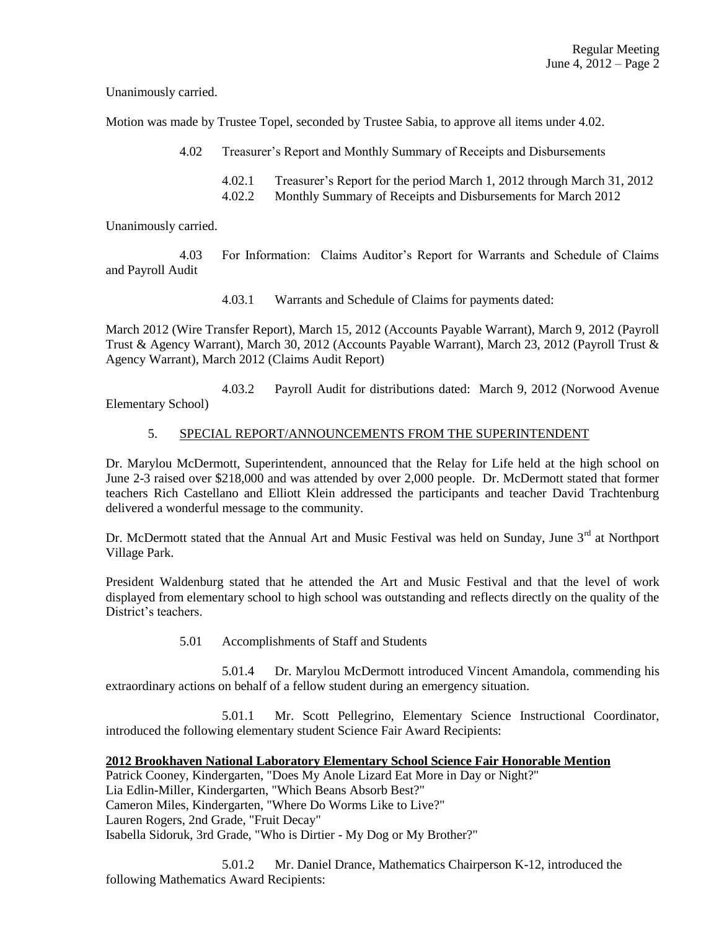Unanimously carried.

Motion was made by Trustee Topel, seconded by Trustee Sabia, to approve all items under 4.02.

4.02 Treasurer's Report and Monthly Summary of Receipts and Disbursements

4.02.1 Treasurer's Report for the period March 1, 2012 through March 31, 2012 4.02.2 Monthly Summary of Receipts and Disbursements for March 2012

Unanimously carried.

4.03 For Information: Claims Auditor's Report for Warrants and Schedule of Claims and Payroll Audit

4.03.1 Warrants and Schedule of Claims for payments dated:

March 2012 (Wire Transfer Report), March 15, 2012 (Accounts Payable Warrant), March 9, 2012 (Payroll Trust & Agency Warrant), March 30, 2012 (Accounts Payable Warrant), March 23, 2012 (Payroll Trust & Agency Warrant), March 2012 (Claims Audit Report)

4.03.2 Payroll Audit for distributions dated: March 9, 2012 (Norwood Avenue Elementary School)

# 5. SPECIAL REPORT/ANNOUNCEMENTS FROM THE SUPERINTENDENT

Dr. Marylou McDermott, Superintendent, announced that the Relay for Life held at the high school on June 2-3 raised over \$218,000 and was attended by over 2,000 people. Dr. McDermott stated that former teachers Rich Castellano and Elliott Klein addressed the participants and teacher David Trachtenburg delivered a wonderful message to the community.

Dr. McDermott stated that the Annual Art and Music Festival was held on Sunday, June  $3^{rd}$  at Northport Village Park.

President Waldenburg stated that he attended the Art and Music Festival and that the level of work displayed from elementary school to high school was outstanding and reflects directly on the quality of the District's teachers.

5.01 Accomplishments of Staff and Students

5.01.4 Dr. Marylou McDermott introduced Vincent Amandola, commending his extraordinary actions on behalf of a fellow student during an emergency situation.

5.01.1 Mr. Scott Pellegrino, Elementary Science Instructional Coordinator, introduced the following elementary student Science Fair Award Recipients:

# **2012 Brookhaven National Laboratory Elementary School Science Fair Honorable Mention**

Patrick Cooney, Kindergarten, "Does My Anole Lizard Eat More in Day or Night?" Lia Edlin-Miller, Kindergarten, "Which Beans Absorb Best?" Cameron Miles, Kindergarten, "Where Do Worms Like to Live?" Lauren Rogers, 2nd Grade, "Fruit Decay" Isabella Sidoruk, 3rd Grade, "Who is Dirtier - My Dog or My Brother?"

5.01.2 Mr. Daniel Drance, Mathematics Chairperson K-12, introduced the following Mathematics Award Recipients: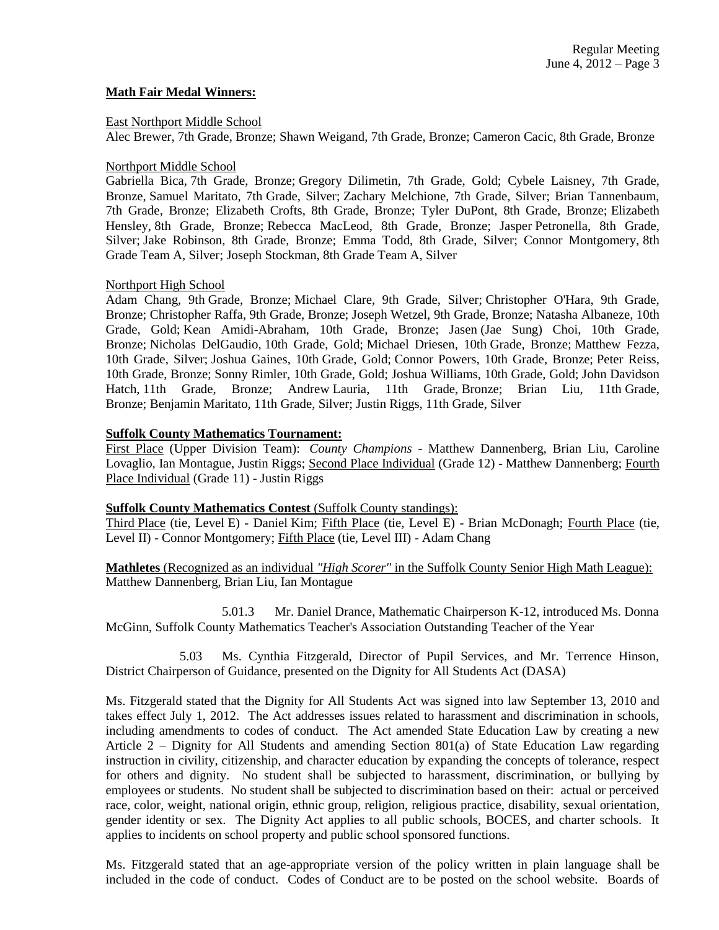#### **Math Fair Medal Winners:**

#### East Northport Middle School

Alec Brewer, 7th Grade, Bronze; Shawn Weigand, 7th Grade, Bronze; Cameron Cacic, 8th Grade, Bronze

### Northport Middle School

Gabriella Bica, 7th Grade, Bronze; Gregory Dilimetin, 7th Grade, Gold; Cybele Laisney, 7th Grade, Bronze, Samuel Maritato, 7th Grade, Silver; Zachary Melchione, 7th Grade, Silver; Brian Tannenbaum, 7th Grade, Bronze; Elizabeth Crofts, 8th Grade, Bronze; Tyler DuPont, 8th Grade, Bronze; Elizabeth Hensley, 8th Grade, Bronze; Rebecca MacLeod, 8th Grade, Bronze; Jasper Petronella, 8th Grade, Silver; Jake Robinson, 8th Grade, Bronze; Emma Todd, 8th Grade, Silver; Connor Montgomery, 8th Grade Team A, Silver; Joseph Stockman, 8th Grade Team A, Silver

### Northport High School

Adam Chang, 9th Grade, Bronze; Michael Clare, 9th Grade, Silver; Christopher O'Hara, 9th Grade, Bronze; Christopher Raffa, 9th Grade, Bronze; Joseph Wetzel, 9th Grade, Bronze; Natasha Albaneze, 10th Grade, Gold; Kean Amidi-Abraham, 10th Grade, Bronze; Jasen (Jae Sung) Choi, 10th Grade, Bronze; Nicholas DelGaudio, 10th Grade, Gold; Michael Driesen, 10th Grade, Bronze; Matthew Fezza, 10th Grade, Silver; Joshua Gaines, 10th Grade, Gold; Connor Powers, 10th Grade, Bronze; Peter Reiss, 10th Grade, Bronze; Sonny Rimler, 10th Grade, Gold; Joshua Williams, 10th Grade, Gold; John Davidson Hatch, 11th Grade, Bronze; Andrew Lauria, 11th Grade, Bronze; Brian Liu, 11th Grade, Bronze; Benjamin Maritato, 11th Grade, Silver; Justin Riggs, 11th Grade, Silver

### **Suffolk County Mathematics Tournament:**

First Place (Upper Division Team): *County Champions* - Matthew Dannenberg, Brian Liu, Caroline Lovaglio, Ian Montague, Justin Riggs; Second Place Individual (Grade 12) - Matthew Dannenberg; Fourth Place Individual (Grade 11) - Justin Riggs

#### **Suffolk County Mathematics Contest (Suffolk County standings):**

Third Place (tie, Level E) - Daniel Kim; Fifth Place (tie, Level E) - Brian McDonagh; Fourth Place (tie, Level II) - Connor Montgomery; Fifth Place (tie, Level III) - Adam Chang

**Mathletes** (Recognized as an individual *"High Scorer"* in the Suffolk County Senior High Math League): Matthew Dannenberg, Brian Liu, Ian Montague

5.01.3 Mr. Daniel Drance, Mathematic Chairperson K-12, introduced Ms. Donna McGinn, Suffolk County Mathematics Teacher's Association Outstanding Teacher of the Year

5.03 Ms. Cynthia Fitzgerald, Director of Pupil Services, and Mr. Terrence Hinson, District Chairperson of Guidance, presented on the Dignity for All Students Act (DASA)

Ms. Fitzgerald stated that the Dignity for All Students Act was signed into law September 13, 2010 and takes effect July 1, 2012. The Act addresses issues related to harassment and discrimination in schools, including amendments to codes of conduct. The Act amended State Education Law by creating a new Article 2 – Dignity for All Students and amending Section 801(a) of State Education Law regarding instruction in civility, citizenship, and character education by expanding the concepts of tolerance, respect for others and dignity. No student shall be subjected to harassment, discrimination, or bullying by employees or students. No student shall be subjected to discrimination based on their: actual or perceived race, color, weight, national origin, ethnic group, religion, religious practice, disability, sexual orientation, gender identity or sex. The Dignity Act applies to all public schools, BOCES, and charter schools. It applies to incidents on school property and public school sponsored functions.

Ms. Fitzgerald stated that an age-appropriate version of the policy written in plain language shall be included in the code of conduct. Codes of Conduct are to be posted on the school website. Boards of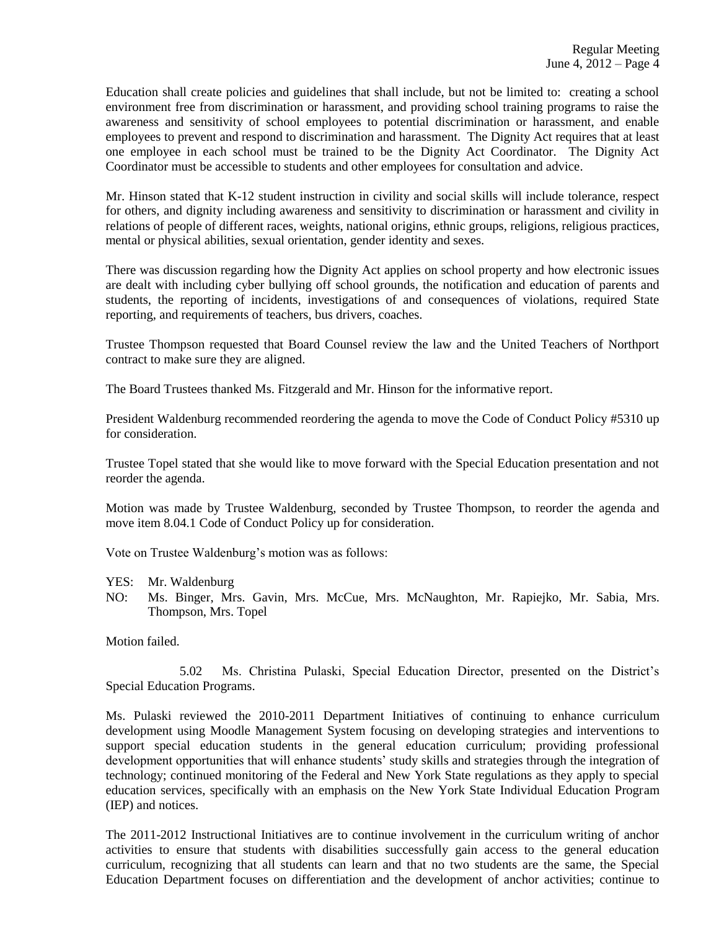Education shall create policies and guidelines that shall include, but not be limited to: creating a school environment free from discrimination or harassment, and providing school training programs to raise the awareness and sensitivity of school employees to potential discrimination or harassment, and enable employees to prevent and respond to discrimination and harassment. The Dignity Act requires that at least one employee in each school must be trained to be the Dignity Act Coordinator. The Dignity Act Coordinator must be accessible to students and other employees for consultation and advice.

Mr. Hinson stated that K-12 student instruction in civility and social skills will include tolerance, respect for others, and dignity including awareness and sensitivity to discrimination or harassment and civility in relations of people of different races, weights, national origins, ethnic groups, religions, religious practices, mental or physical abilities, sexual orientation, gender identity and sexes.

There was discussion regarding how the Dignity Act applies on school property and how electronic issues are dealt with including cyber bullying off school grounds, the notification and education of parents and students, the reporting of incidents, investigations of and consequences of violations, required State reporting, and requirements of teachers, bus drivers, coaches.

Trustee Thompson requested that Board Counsel review the law and the United Teachers of Northport contract to make sure they are aligned.

The Board Trustees thanked Ms. Fitzgerald and Mr. Hinson for the informative report.

President Waldenburg recommended reordering the agenda to move the Code of Conduct Policy #5310 up for consideration.

Trustee Topel stated that she would like to move forward with the Special Education presentation and not reorder the agenda.

Motion was made by Trustee Waldenburg, seconded by Trustee Thompson, to reorder the agenda and move item 8.04.1 Code of Conduct Policy up for consideration.

Vote on Trustee Waldenburg's motion was as follows:

- YES: Mr. Waldenburg
- NO: Ms. Binger, Mrs. Gavin, Mrs. McCue, Mrs. McNaughton, Mr. Rapiejko, Mr. Sabia, Mrs. Thompson, Mrs. Topel

Motion failed.

5.02 Ms. Christina Pulaski, Special Education Director, presented on the District's Special Education Programs.

Ms. Pulaski reviewed the 2010-2011 Department Initiatives of continuing to enhance curriculum development using Moodle Management System focusing on developing strategies and interventions to support special education students in the general education curriculum; providing professional development opportunities that will enhance students' study skills and strategies through the integration of technology; continued monitoring of the Federal and New York State regulations as they apply to special education services, specifically with an emphasis on the New York State Individual Education Program (IEP) and notices.

The 2011-2012 Instructional Initiatives are to continue involvement in the curriculum writing of anchor activities to ensure that students with disabilities successfully gain access to the general education curriculum, recognizing that all students can learn and that no two students are the same, the Special Education Department focuses on differentiation and the development of anchor activities; continue to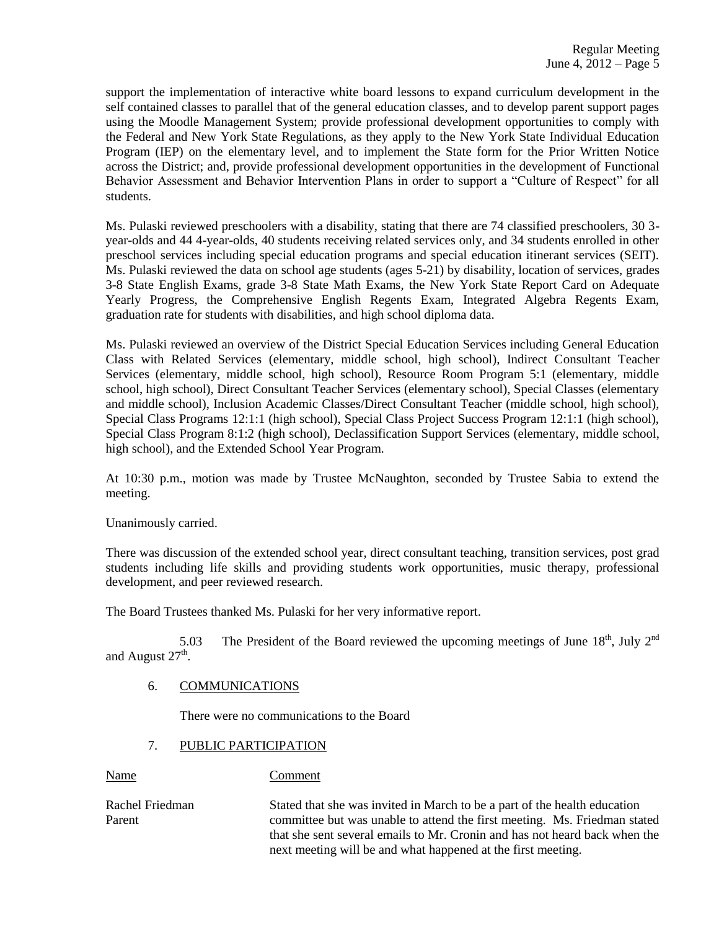support the implementation of interactive white board lessons to expand curriculum development in the self contained classes to parallel that of the general education classes, and to develop parent support pages using the Moodle Management System; provide professional development opportunities to comply with the Federal and New York State Regulations, as they apply to the New York State Individual Education Program (IEP) on the elementary level, and to implement the State form for the Prior Written Notice across the District; and, provide professional development opportunities in the development of Functional Behavior Assessment and Behavior Intervention Plans in order to support a "Culture of Respect" for all students.

Ms. Pulaski reviewed preschoolers with a disability, stating that there are 74 classified preschoolers, 30 3 year-olds and 44 4-year-olds, 40 students receiving related services only, and 34 students enrolled in other preschool services including special education programs and special education itinerant services (SEIT). Ms. Pulaski reviewed the data on school age students (ages 5-21) by disability, location of services, grades 3-8 State English Exams, grade 3-8 State Math Exams, the New York State Report Card on Adequate Yearly Progress, the Comprehensive English Regents Exam, Integrated Algebra Regents Exam, graduation rate for students with disabilities, and high school diploma data.

Ms. Pulaski reviewed an overview of the District Special Education Services including General Education Class with Related Services (elementary, middle school, high school), Indirect Consultant Teacher Services (elementary, middle school, high school), Resource Room Program 5:1 (elementary, middle school, high school), Direct Consultant Teacher Services (elementary school), Special Classes (elementary and middle school), Inclusion Academic Classes/Direct Consultant Teacher (middle school, high school), Special Class Programs 12:1:1 (high school), Special Class Project Success Program 12:1:1 (high school), Special Class Program 8:1:2 (high school), Declassification Support Services (elementary, middle school, high school), and the Extended School Year Program.

At 10:30 p.m., motion was made by Trustee McNaughton, seconded by Trustee Sabia to extend the meeting.

Unanimously carried.

There was discussion of the extended school year, direct consultant teaching, transition services, post grad students including life skills and providing students work opportunities, music therapy, professional development, and peer reviewed research.

The Board Trustees thanked Ms. Pulaski for her very informative report.

5.03 The President of the Board reviewed the upcoming meetings of June  $18<sup>th</sup>$ , July  $2<sup>nd</sup>$ and August  $27<sup>th</sup>$ .

# 6. COMMUNICATIONS

There were no communications to the Board

# 7. PUBLIC PARTICIPATION

Name Comment

Rachel Friedman Stated that she was invited in March to be a part of the health education Parent committee but was unable to attend the first meeting. Ms. Friedman stated that she sent several emails to Mr. Cronin and has not heard back when the next meeting will be and what happened at the first meeting.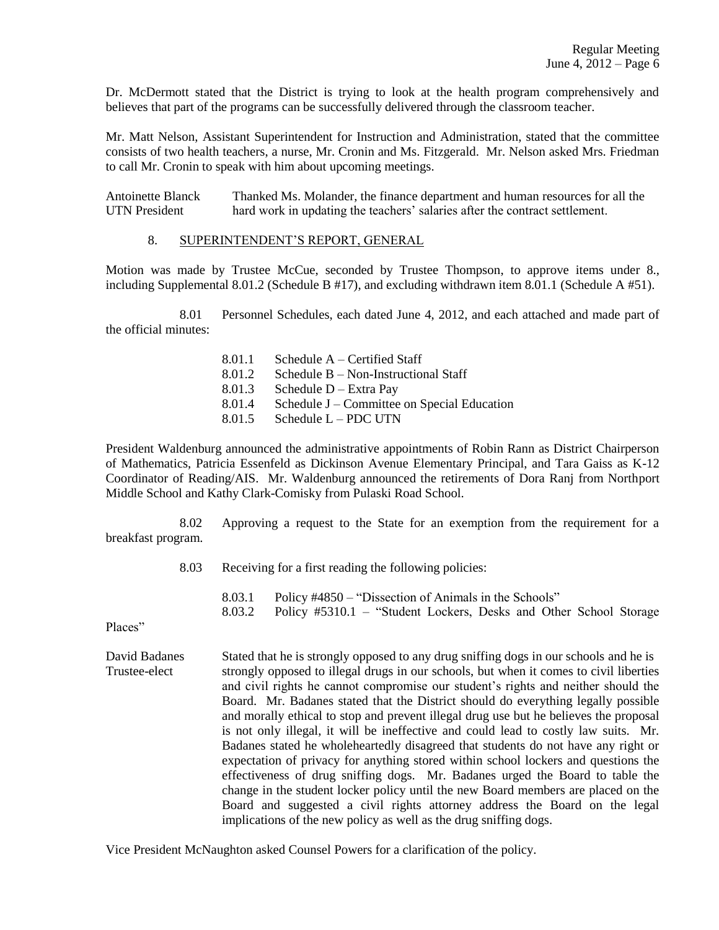Dr. McDermott stated that the District is trying to look at the health program comprehensively and believes that part of the programs can be successfully delivered through the classroom teacher.

Mr. Matt Nelson, Assistant Superintendent for Instruction and Administration, stated that the committee consists of two health teachers, a nurse, Mr. Cronin and Ms. Fitzgerald. Mr. Nelson asked Mrs. Friedman to call Mr. Cronin to speak with him about upcoming meetings.

Antoinette Blanck Thanked Ms. Molander, the finance department and human resources for all the UTN President hard work in updating the teachers' salaries after the contract settlement.

#### 8. SUPERINTENDENT'S REPORT, GENERAL

Motion was made by Trustee McCue, seconded by Trustee Thompson, to approve items under 8., including Supplemental 8.01.2 (Schedule B #17), and excluding withdrawn item 8.01.1 (Schedule A #51).

8.01 Personnel Schedules, each dated June 4, 2012, and each attached and made part of the official minutes:

> 8.01.1 Schedule A – Certified Staff 8.01.2 Schedule B – Non-Instructional Staff 8.01.3 Schedule D – Extra Pay 8.01.4 Schedule J – Committee on Special Education  $8.01.5$  Schedule L – PDC UTN

President Waldenburg announced the administrative appointments of Robin Rann as District Chairperson of Mathematics, Patricia Essenfeld as Dickinson Avenue Elementary Principal, and Tara Gaiss as K-12 Coordinator of Reading/AIS. Mr. Waldenburg announced the retirements of Dora Ranj from Northport Middle School and Kathy Clark-Comisky from Pulaski Road School.

8.02 Approving a request to the State for an exemption from the requirement for a breakfast program.

8.03 Receiving for a first reading the following policies:

8.03.1 Policy #4850 – "Dissection of Animals in the Schools" 8.03.2 Policy #5310.1 – "Student Lockers, Desks and Other School Storage

Places"

David Badanes Stated that he is strongly opposed to any drug sniffing dogs in our schools and he is Trustee-elect strongly opposed to illegal drugs in our schools, but when it comes to civil liberties and civil rights he cannot compromise our student's rights and neither should the Board. Mr. Badanes stated that the District should do everything legally possible and morally ethical to stop and prevent illegal drug use but he believes the proposal is not only illegal, it will be ineffective and could lead to costly law suits. Mr. Badanes stated he wholeheartedly disagreed that students do not have any right or expectation of privacy for anything stored within school lockers and questions the effectiveness of drug sniffing dogs. Mr. Badanes urged the Board to table the change in the student locker policy until the new Board members are placed on the Board and suggested a civil rights attorney address the Board on the legal implications of the new policy as well as the drug sniffing dogs.

Vice President McNaughton asked Counsel Powers for a clarification of the policy.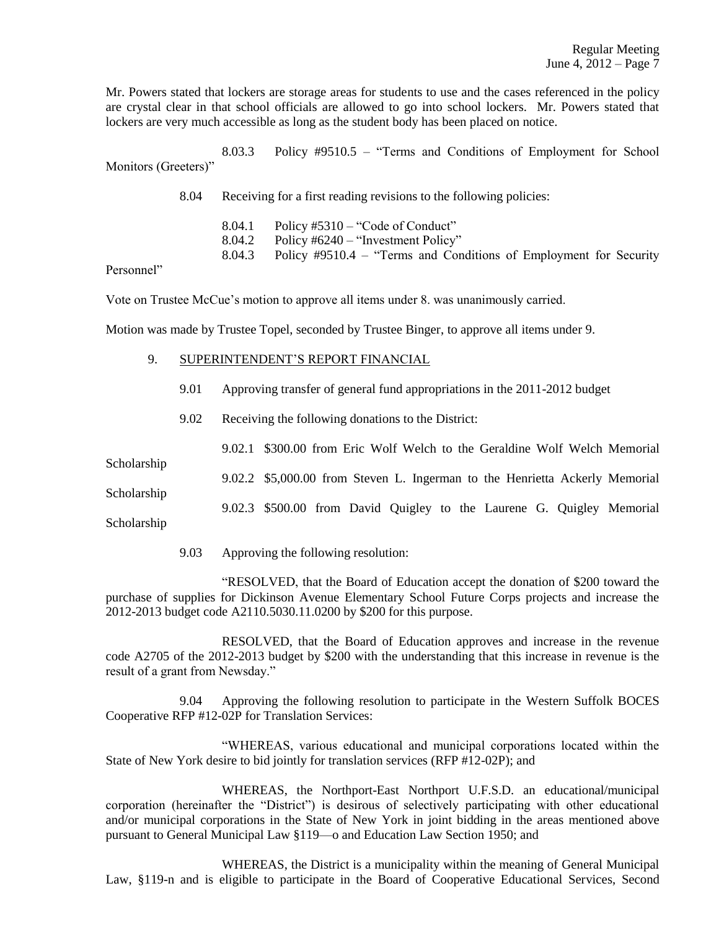Mr. Powers stated that lockers are storage areas for students to use and the cases referenced in the policy are crystal clear in that school officials are allowed to go into school lockers. Mr. Powers stated that lockers are very much accessible as long as the student body has been placed on notice.

8.03.3 Policy #9510.5 – "Terms and Conditions of Employment for School Monitors (Greeters)"

8.04 Receiving for a first reading revisions to the following policies:

8.04.1 Policy #5310 – "Code of Conduct" 8.04.2 Policy #6240 – "Investment Policy" 8.04.3 Policy #9510.4 – "Terms and Conditions of Employment for Security

Personnel"

Vote on Trustee McCue's motion to approve all items under 8. was unanimously carried.

Motion was made by Trustee Topel, seconded by Trustee Binger, to approve all items under 9.

- 9. SUPERINTENDENT'S REPORT FINANCIAL
	- 9.01 Approving transfer of general fund appropriations in the 2011-2012 budget
	- 9.02 Receiving the following donations to the District:

9.02.1 \$300.00 from Eric Wolf Welch to the Geraldine Wolf Welch Memorial

9.02.2 \$5,000.00 from Steven L. Ingerman to the Henrietta Ackerly Memorial

Scholarship 9.02.3 \$500.00 from David Quigley to the Laurene G. Quigley Memorial Scholarship

Scholarship

9.03 Approving the following resolution:

"RESOLVED, that the Board of Education accept the donation of \$200 toward the purchase of supplies for Dickinson Avenue Elementary School Future Corps projects and increase the 2012-2013 budget code A2110.5030.11.0200 by \$200 for this purpose.

RESOLVED, that the Board of Education approves and increase in the revenue code A2705 of the 2012-2013 budget by \$200 with the understanding that this increase in revenue is the result of a grant from Newsday."

9.04 Approving the following resolution to participate in the Western Suffolk BOCES Cooperative RFP #12-02P for Translation Services:

"WHEREAS, various educational and municipal corporations located within the State of New York desire to bid jointly for translation services (RFP #12-02P); and

WHEREAS, the Northport-East Northport U.F.S.D. an educational/municipal corporation (hereinafter the "District") is desirous of selectively participating with other educational and/or municipal corporations in the State of New York in joint bidding in the areas mentioned above pursuant to General Municipal Law §119—o and Education Law Section 1950; and

WHEREAS, the District is a municipality within the meaning of General Municipal Law, §119-n and is eligible to participate in the Board of Cooperative Educational Services, Second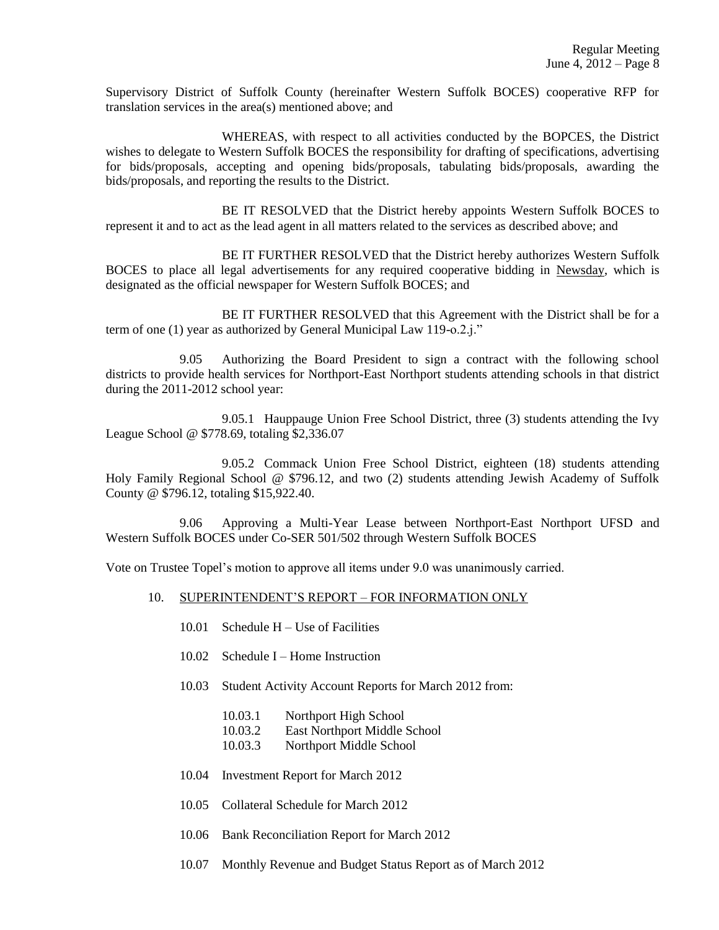Supervisory District of Suffolk County (hereinafter Western Suffolk BOCES) cooperative RFP for translation services in the area(s) mentioned above; and

WHEREAS, with respect to all activities conducted by the BOPCES, the District wishes to delegate to Western Suffolk BOCES the responsibility for drafting of specifications, advertising for bids/proposals, accepting and opening bids/proposals, tabulating bids/proposals, awarding the bids/proposals, and reporting the results to the District.

BE IT RESOLVED that the District hereby appoints Western Suffolk BOCES to represent it and to act as the lead agent in all matters related to the services as described above; and

BE IT FURTHER RESOLVED that the District hereby authorizes Western Suffolk BOCES to place all legal advertisements for any required cooperative bidding in Newsday, which is designated as the official newspaper for Western Suffolk BOCES; and

BE IT FURTHER RESOLVED that this Agreement with the District shall be for a term of one (1) year as authorized by General Municipal Law 119-o.2.j."

9.05 Authorizing the Board President to sign a contract with the following school districts to provide health services for Northport-East Northport students attending schools in that district during the 2011-2012 school year:

9.05.1 Hauppauge Union Free School District, three (3) students attending the Ivy League School @ \$778.69, totaling \$2,336.07

9.05.2 Commack Union Free School District, eighteen (18) students attending Holy Family Regional School @ \$796.12, and two (2) students attending Jewish Academy of Suffolk County @ \$796.12, totaling \$15,922.40.

9.06 Approving a Multi-Year Lease between Northport-East Northport UFSD and Western Suffolk BOCES under Co-SER 501/502 through Western Suffolk BOCES

Vote on Trustee Topel's motion to approve all items under 9.0 was unanimously carried.

- 10. SUPERINTENDENT'S REPORT FOR INFORMATION ONLY
	- 10.01 Schedule H Use of Facilities
	- 10.02 Schedule I Home Instruction
	- 10.03 Student Activity Account Reports for March 2012 from:
		- 10.03.1 Northport High School
		- 10.03.2 East Northport Middle School
		- 10.03.3 Northport Middle School
	- 10.04 Investment Report for March 2012
	- 10.05 Collateral Schedule for March 2012
	- 10.06 Bank Reconciliation Report for March 2012
	- 10.07 Monthly Revenue and Budget Status Report as of March 2012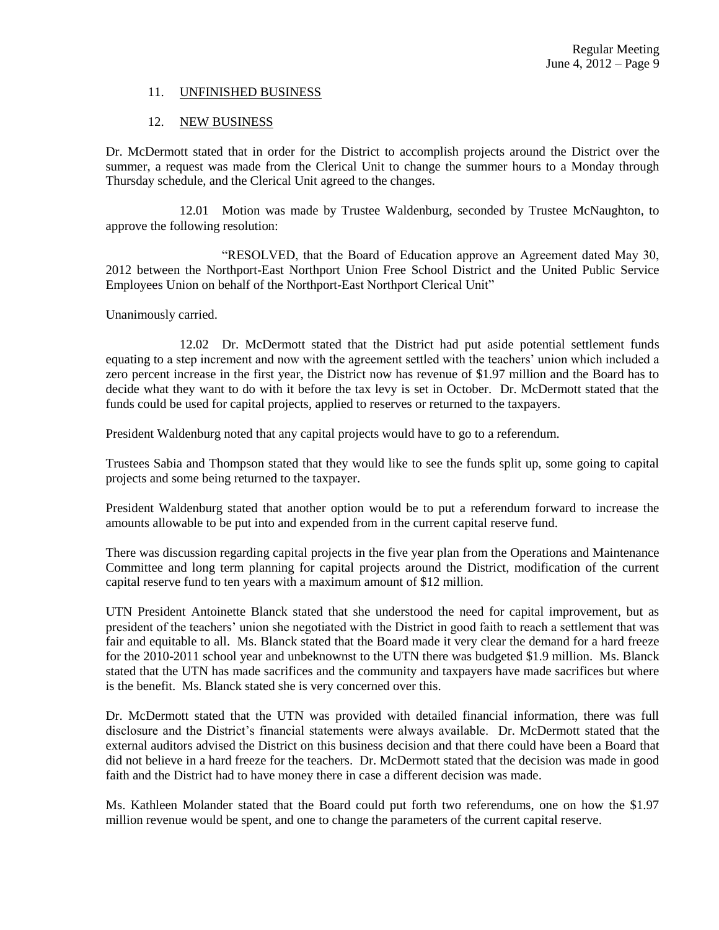### 11. UNFINISHED BUSINESS

### 12. NEW BUSINESS

Dr. McDermott stated that in order for the District to accomplish projects around the District over the summer, a request was made from the Clerical Unit to change the summer hours to a Monday through Thursday schedule, and the Clerical Unit agreed to the changes.

12.01 Motion was made by Trustee Waldenburg, seconded by Trustee McNaughton, to approve the following resolution:

"RESOLVED, that the Board of Education approve an Agreement dated May 30, 2012 between the Northport-East Northport Union Free School District and the United Public Service Employees Union on behalf of the Northport-East Northport Clerical Unit"

Unanimously carried.

12.02 Dr. McDermott stated that the District had put aside potential settlement funds equating to a step increment and now with the agreement settled with the teachers' union which included a zero percent increase in the first year, the District now has revenue of \$1.97 million and the Board has to decide what they want to do with it before the tax levy is set in October. Dr. McDermott stated that the funds could be used for capital projects, applied to reserves or returned to the taxpayers.

President Waldenburg noted that any capital projects would have to go to a referendum.

Trustees Sabia and Thompson stated that they would like to see the funds split up, some going to capital projects and some being returned to the taxpayer.

President Waldenburg stated that another option would be to put a referendum forward to increase the amounts allowable to be put into and expended from in the current capital reserve fund.

There was discussion regarding capital projects in the five year plan from the Operations and Maintenance Committee and long term planning for capital projects around the District, modification of the current capital reserve fund to ten years with a maximum amount of \$12 million.

UTN President Antoinette Blanck stated that she understood the need for capital improvement, but as president of the teachers' union she negotiated with the District in good faith to reach a settlement that was fair and equitable to all. Ms. Blanck stated that the Board made it very clear the demand for a hard freeze for the 2010-2011 school year and unbeknownst to the UTN there was budgeted \$1.9 million. Ms. Blanck stated that the UTN has made sacrifices and the community and taxpayers have made sacrifices but where is the benefit. Ms. Blanck stated she is very concerned over this.

Dr. McDermott stated that the UTN was provided with detailed financial information, there was full disclosure and the District's financial statements were always available. Dr. McDermott stated that the external auditors advised the District on this business decision and that there could have been a Board that did not believe in a hard freeze for the teachers. Dr. McDermott stated that the decision was made in good faith and the District had to have money there in case a different decision was made.

Ms. Kathleen Molander stated that the Board could put forth two referendums, one on how the \$1.97 million revenue would be spent, and one to change the parameters of the current capital reserve.